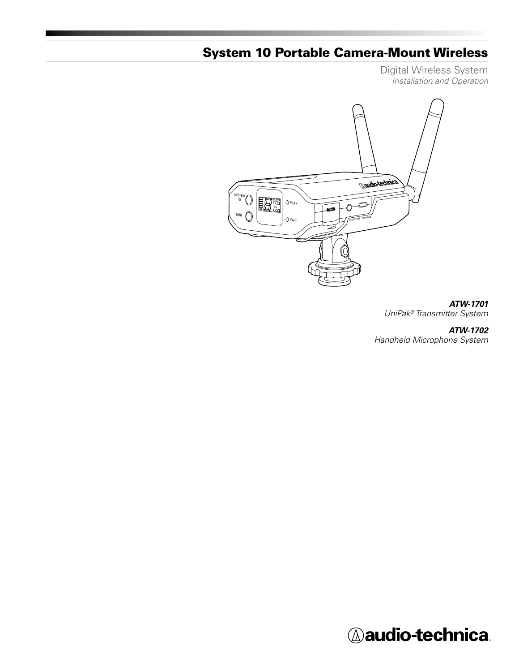# System 10 Portable Camera-Mount Wireless

Digital Wireless System *Installation and Operation*



# *ATW-1701*

*UniPak® Transmitter System*

# *ATW-1702*

*Handheld Microphone System*

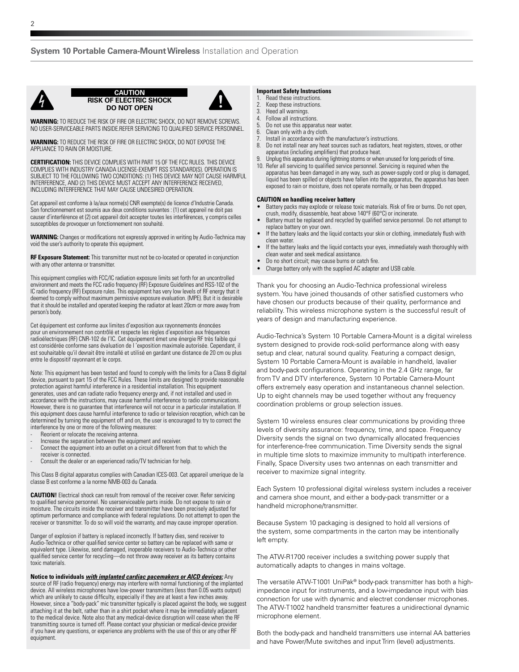

**CAUTION RISK OF ELECTRIC SHOCK DO NOT OPEN**



**WARNING:** TO REDUCE THE RISK OF FIRE OR ELECTRIC SHOCK, DO NOT REMOVE SCREWS. NO USER-SERVICEABLE PARTS INSIDE.REFER SERVICING TO QUALIFIED SERVICE PERSONNEL.

**WARNING:** TO REDUCE THE RISK OF FIRE OR ELECTRIC SHOCK, DO NOT EXPOSE THE APPLIANCE TO RAIN OR MOISTURE.

**CERTIFICATION:** THIS DEVICE COMPLIES WITH PART 15 OF THE FCC RULES. THIS DEVICE COMPLIES WITH INDUSTRY CANADA LICENSE-EXEMPT RSS STANDARD(S). OPERATION IS SUBJECT TO THE FOLLOWING TWO CONDITIONS: (1) THIS DEVICE MAY NOT CAUSE HARMFUL INTERFERENCE, AND (2) THIS DEVICE MUST ACCEPT ANY INTERFERENCE RECEIVED, INCLUDING INTERFERENCE THAT MAY CAUSE UNDESIRED OPERATION.

Cet appareil est conforme à la/aux norme(s) CNR exempte(s) de licence d'Industrie Canada. Son fonctionnement est soumis aux deux conditions suivantes : (1) cet appareil ne doit pas causer d'interférence et (2) cet appareil doit accepter toutes les interférences, y compris celles susceptibles de provoquer un fonctionnement non souhaité.

**WARNING:** Changes or modifications not expressly approved in writing by Audio-Technica may void the user's authority to operate this equipment.

**RF Exposure Statement:** This transmitter must not be co-located or operated in conjunction with any other antenna or transmitter.

This equipment complies with FCC/IC radiation exposure limits set forth for an uncontrolled environment and meets the FCC radio frequency (RF) Exposure Guidelines and RSS-102 of the IC radio frequency (RF) Exposure rules. This equipment has very low levels of RF energy that it deemed to comply without maximum permissive exposure evaluation. (MPE). But it is desirable that it should be installed and operated keeping the radiator at least 20cm or more away from person's body.

Cet équipement est conforme aux limites d'exposition aux rayonnements énoncées pour un environnement non contrôlé et respecte les règles d'exposition aux fréquences radioélectriques (RF) CNR-102 de l'IC. Cet équipement émet une énergie RF très faible qui est considérée conforme sans évaluation de l 'exposition maximale autorisée. Cependant, il est souhaitable qu'il devrait être installé et utilisé en gardant une distance de 20 cm ou plus entre le dispositif rayonnant et le corps.

Note: This equipment has been tested and found to comply with the limits for a Class B digital device, pursuant to part 15 of the FCC Rules. These limits are designed to provide reasonable protection against harmful interference in a residential installation. This equipment generates, uses and can radiate radio frequency energy and, if not installed and used in accordance with the instructions, may cause harmful interference to radio communications. However, there is no guarantee that interference will not occur in a particular installation. If this equipment does cause harmful interference to radio or television reception, which can be determined by turning the equipment off and on, the user is encouraged to try to correct the interference by one or more of the following measures:

- Reorient or relocate the receiving antenna.
- Increase the separation between the equipment and receiver.
- Connect the equipment into an outlet on a circuit different from that to which the receiver is connected.
- Consult the dealer or an experienced radio/TV technician for help.

This Class B digital apparatus complies with Canadian ICES-003. Cet appareil umerique de la classe B est conforme a la norme NMB-003 du Canada.

**CAUTION!** Electrical shock can result from removal of the receiver cover. Refer servicing to qualified service personnel. No userserviceable parts inside. Do not expose to rain or moisture. The circuits inside the receiver and transmitter have been precisely adjusted for optimum performance and compliance with federal regulations. Do not attempt to open the receiver or transmitter. To do so will void the warranty, and may cause improper operation.

Danger of explosion if battery is replaced incorrectly. If battery dies, send receiver to Audio-Technica or other qualified service center so battery can be replaced with same or equivalent type. Likewise, send damaged, inoperable receivers to Audio-Technica or other qualified service center for recycling—do not throw away receiver as its battery contains toxic materials.

**Notice to individuals** *with implanted cardiac pacemakers or AICD devices:* Any source of RF (radio frequency) energy may interfere with normal functioning of the implanted device. All wireless microphones have low-power transmitters (less than 0.05 watts output) which are unlikely to cause difficulty, especially if they are at least a few inches away. However, since a "body-pack" mic transmitter typically is placed against the body, we suggest attaching it at the belt, rather than in a shirt pocket where it may be immediately adjacent to the medical device. Note also that any medical-device disruption will cease when the RF transmitting source is turned off. Please contact your physician or medical-device provider if you have any questions, or experience any problems with the use of this or any other RF equipment.

#### **Important Safety Instructions**

- 1. Read these instructions.<br>2. Keep these instructions.
- 2. Keep these instructions.<br>3. Heed all warnings.
- 3. Heed all warnings.<br>4. Follow all instructie
- 4. Follow all instructions.<br>5. Do not use this appara
- Do not use this apparatus near water. 6. Clean only with a dry cloth.
- Install in accordance with the manufacturer's instructions.
- 8. Do not install near any heat sources such as radiators, heat registers, stoves, or other apparatus (including amplifiers) that produce heat.
- 9. Unplug this apparatus during lightning storms or when unused for long periods of time. 10. Refer all servicing to qualified service personnel. Servicing is required when the apparatus has been damaged in any way, such as power-supply cord or plug is damaged, liquid has been spilled or objects have fallen into the apparatus, the apparatus has been exposed to rain or moisture, does not operate normally, or has been dropped.

#### **CAUTION on handling receiver battery**

- Battery packs may explode or release toxic materials. Risk of fire or burns. Do not open, crush, modify, disassemble, heat above 140°F (60°C) or incinerate.
- Battery must be replaced and recycled by qualified service personnel. Do not attempt to renlace battery on your own.
- If the battery leaks and the liquid contacts your skin or clothing, immediately flush with clean water.
- If the battery leaks and the liquid contacts your eyes, immediately wash thoroughly with clean water and seek medical assistance.
- Do no short circuit; may cause burns or catch fire.
- Charge battery only with the supplied AC adapter and USB cable.

Thank you for choosing an Audio-Technica professional wireless system. You have joined thousands of other satisfied customers who have chosen our products because of their quality, performance and reliability. This wireless microphone system is the successful result of years of design and manufacturing experience.

Audio-Technica's System 10 Portable Camera-Mount is a digital wireless system designed to provide rock-solid performance along with easy setup and clear, natural sound quality. Featuring a compact design, System 10 Portable Camera-Mount is available in handheld, lavalier and body-pack configurations. Operating in the 2.4 GHz range, far from TV and DTV interference, System 10 Portable Camera-Mount offers extremely easy operation and instantaneous channel selection. Up to eight channels may be used together without any frequency coordination problems or group selection issues.

System 10 wireless ensures clear communications by providing three levels of diversity assurance: frequency, time, and space. Frequency Diversity sends the signal on two dynamically allocated frequencies for interference-free communication. Time Diversity sends the signal in multiple time slots to maximize immunity to multipath interference. Finally, Space Diversity uses two antennas on each transmitter and receiver to maximize signal integrity.

Each System 10 professional digital wireless system includes a receiver and camera shoe mount, and either a body-pack transmitter or a handheld microphone/transmitter.

Because System 10 packaging is designed to hold all versions of the system, some compartments in the carton may be intentionally left empty.

The ATW-R1700 receiver includes a switching power supply that automatically adapts to changes in mains voltage.

The versatile ATW-T1001 UniPak® body-pack transmitter has both a highimpedance input for instruments, and a low-impedance input with bias connection for use with dynamic and electret condenser microphones. The ATW-T1002 handheld transmitter features a unidirectional dynamic microphone element.

Both the body-pack and handheld transmitters use internal AA batteries and have Power/Mute switches and input Trim (level) adjustments.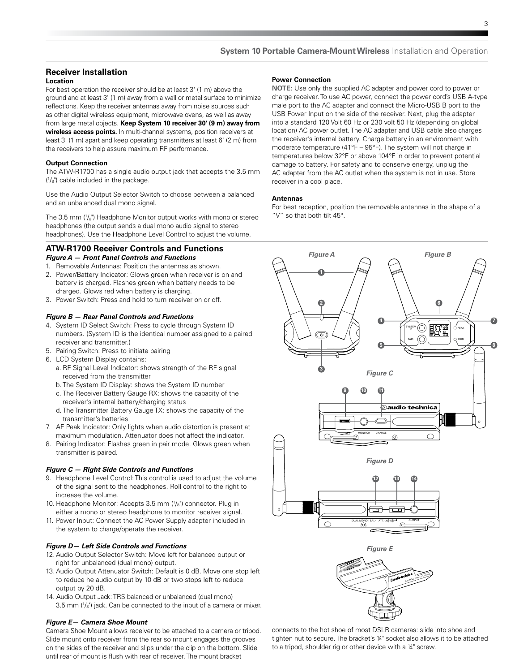# **Receiver Installation**

#### **Location**

For best operation the receiver should be at least 3' (1 m) above the ground and at least 3' (1 m) away from a wall or metal surface to minimize reflections. Keep the receiver antennas away from noise sources such as other digital wireless equipment, microwave ovens, as well as away from large metal objects. **Keep System 10 receiver 30' (9 m) away from wireless access points.** In multi-channel systems, position receivers at least 3' (1 m) apart and keep operating transmitters at least 6' (2 m) from the receivers to help assure maximum RF performance.

#### **Output Connection**

The ATW-R1700 has a single audio output jack that accepts the 3.5 mm ( 1 /8") cable included in the package.

Use the Audio Output Selector Switch to choose between a balanced and an unbalanced dual mono signal.

The 3.5 mm (1 /8") Headphone Monitor output works with mono or stereo headphones (the output sends a dual mono audio signal to stereo headphones). Use the Headphone Level Control to adjust the volume.

# **ATW-R1700 Receiver Controls and Functions**

*Figure A — Front Panel Controls and Functions*

- 1. Removable Antennas: Position the antennas as shown.
- 2. Power/Battery Indicator: Glows green when receiver is on and battery is charged. Flashes green when battery needs to be charged. Glows red when battery is charging.
- 3. Power Switch: Press and hold to turn receiver on or off.

# *Figure B — Rear Panel Controls and Functions*

- 4. System ID Select Switch: Press to cycle through System ID numbers. (System ID is the identical number assigned to a paired receiver and transmitter.)
- 5. Pairing Switch: Press to initiate pairing
- 6. LCD System Display contains:
	- a. RF Signal Level Indicator: shows strength of the RF signal received from the transmitter
	- b. The System ID Display: shows the System ID number
	- c. The Receiver Battery Gauge RX: shows the capacity of the receiver's internal battery/charging status
	- d. The Transmitter Battery Gauge TX: shows the capacity of the transmitter's batteries
- 7. AF Peak Indicator: Only lights when audio distortion is present at maximum modulation. Attenuator does not affect the indicator.
- 8. Pairing Indicator: Flashes green in pair mode. Glows green when transmitter is paired.

#### *Figure C — Right Side Controls and Functions*

- 9. Headphone Level Control: This control is used to adjust the volume of the signal sent to the headphones. Roll control to the right to increase the volume.
- 10. Headphone Monitor: Accepts 3.5 mm (1 /8") connector. Plug in either a mono or stereo headphone to monitor receiver signal.
- 11. Power Input: Connect the AC Power Supply adapter included in the system to charge/operate the receiver.

#### *Figure D— Left Side Controls and Functions*

- 12.Audio Output Selector Switch: Move left for balanced output or right for unbalanced (dual mono) output.
- 13.Audio Output Attenuator Switch: Default is 0 dB. Move one stop left to reduce he audio output by 10 dB or two stops left to reduce output by 20 dB.
- 14. Audio Output Jack: TRS balanced or unbalanced (dual mono) 3.5 mm (1 /8") jack. Can be connected to the input of a camera or mixer.

#### *Figure E— Camera Shoe Mount*

Camera Shoe Mount allows receiver to be attached to a camera or tripod. Slide mount onto receiver from the rear so mount engages the grooves on the sides of the receiver and slips under the clip on the bottom. Slide until rear of mount is flush with rear of receiver. The mount bracket

#### **Power Connection**

**NOTE:** Use only the supplied AC adapter and power cord to power or charge receiver. To use AC power, connect the power cord's USB A-type male port to the AC adapter and connect the Micro-USB B port to the USB Power Input on the side of the receiver. Next, plug the adapter into a standard 120 Volt 60 Hz or 230 volt 50 Hz (depending on global location) AC power outlet. The AC adapter and USB cable also charges the receiver's internal battery. Charge battery in an environment with moderate temperature (41°F – 95°F). The system will not charge in temperatures below 32°F or above 104°F in order to prevent potential damage to battery. For safety and to conserve energy, unplug the AC adapter from the AC outlet when the system is not in use. Store receiver in a cool place.

#### **Antennas**

For best reception, position the removable antennas in the shape of a "V" so that both tilt 45°.



connects to the hot shoe of most DSLR cameras: slide into shoe and tighten nut to secure. The bracket's ¼" socket also allows it to be attached to a tripod, shoulder rig or other device with a ¼" screw.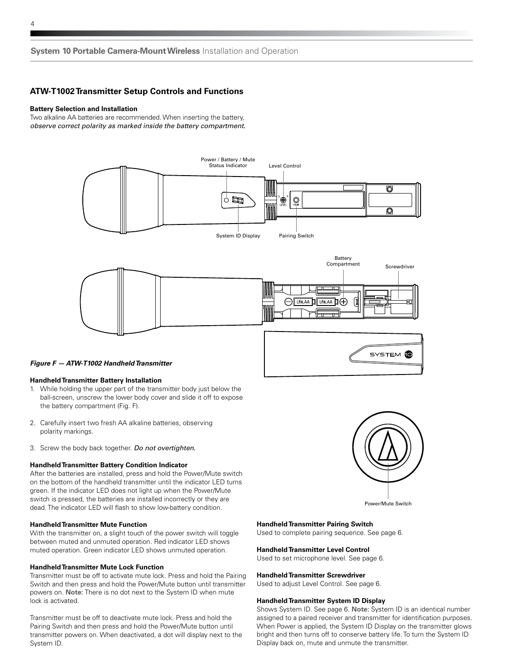# **ATW-T1002 Transmitter Setup Controls and Functions**

#### **Battery Selection and Installation**

Two alkaline AA batteries are recommended. When inserting the battery, *observe correct polarity as marked inside the battery compartment.*



# *Figure F — ATW-T1002 Handheld Transmitter*

#### **Handheld Transmitter Battery Installation**

- 1. While holding the upper part of the transmitter body just below the ball-screen, unscrew the lower body cover and slide it off to expose the battery compartment (Fig. F).
- 2. Carefully insert two fresh AA alkaline batteries, observing polarity markings.
- 3. Screw the body back together. *Do not overtighten.*

#### **Handheld Transmitter Battery Condition Indicator**

After the batteries are installed, press and hold the Power/Mute switch on the bottom of the handheld transmitter until the indicator LED turns green. If the indicator LED does not light up when the Power/Mute switch is pressed, the batteries are installed incorrectly or they are dead. The indicator LED will flash to show low-battery condition.

#### **Handheld Transmitter Mute Function**

With the transmitter on, a slight touch of the power switch will toggle between muted and unmuted operation. Red indicator LED shows muted operation. Green indicator LED shows unmuted operation.

#### **Handheld Transmitter Mute Lock Function**

Transmitter must be off to activate mute lock. Press and hold the Pairing Switch and then press and hold the Power/Mute button until transmitter powers on. **Note:** There is no dot next to the System ID when mute lock is activated.

Transmitter must be off to deactivate mute lock. Press and hold the Pairing Switch and then press and hold the Power/Mute button until transmitter powers on. When deactivated, a dot will display next to the System ID.



Power/Mute Switch

#### **Handheld Transmitter Pairing Switch**

Used to complete pairing sequence. See page 6.

#### **Handheld Transmitter Level Control**

Used to set microphone level. See page 6.

#### **Handheld Transmitter Screwdriver**

Used to adjust Level Control. See page 6.

# **Handheld Transmitter System ID Display**

Shows System ID. See page 6. **Note:** System ID is an identical number assigned to a paired receiver and transmitter for identification purposes. When Power is applied, the System ID Display on the transmitter glows bright and then turns off to conserve battery life. To turn the System ID Display back on, mute and unmute the transmitter.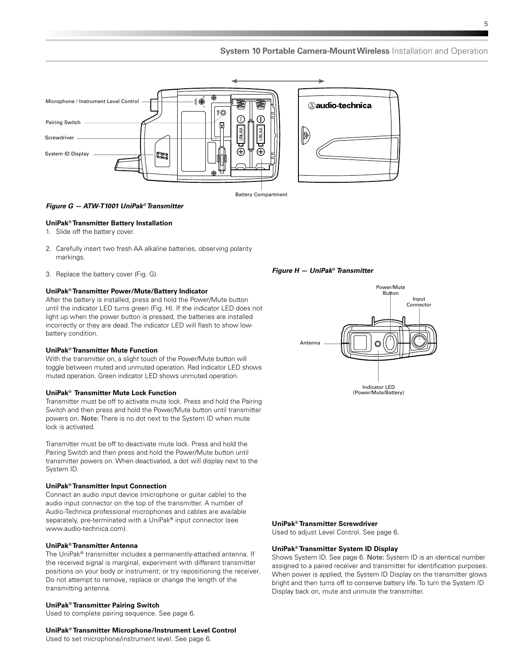

### *Figure G — ATW-T1001 UniPak® Transmitter*

#### **UniPak® Transmitter Battery Installation**

- 1. Slide off the battery cover.
- 2. Carefully insert two fresh AA alkaline batteries, observing polarity markings.
- 3. Replace the battery cover (Fig. G).

#### **UniPak® Transmitter Power/Mute/Battery Indicator**

After the battery is installed, press and hold the Power/Mute button until the indicator LED turns green (Fig. H). If the indicator LED does not light up when the power button is pressed, the batteries are installed incorrectly or they are dead. The indicator LED will flash to show lowbattery condition.

#### **UniPak® Transmitter Mute Function**

With the transmitter on, a slight touch of the Power/Mute button will toggle between muted and unmuted operation. Red indicator LED shows muted operation. Green indicator LED shows unmuted operation.

#### **UniPak® Transmitter Mute Lock Function**

Transmitter must be off to activate mute lock. Press and hold the Pairing Switch and then press and hold the Power/Mute button until transmitter powers on. **Note:** There is no dot next to the System ID when mute lock is activated.

Transmitter must be off to deactivate mute lock. Press and hold the Pairing Switch and then press and hold the Power/Mute button until transmitter powers on. When deactivated, a dot will display next to the System ID.

#### **UniPak® Transmitter Input Connection**

Connect an audio input device (microphone or guitar cable) to the audio input connector on the top of the transmitter. A number of Audio-Technica professional microphones and cables are available separately, pre-terminated with a UniPak® input connector (see www.audio-technica.com).

# **UniPak® Transmitter Antenna**

The UniPak® transmitter includes a permanently-attached antenna. If the received signal is marginal, experiment with different transmitter positions on your body or instrument; or try repositioning the receiver. Do not attempt to remove, replace or change the length of the transmitting antenna.

#### **UniPak® Transmitter Pairing Switch**

Used to complete pairing sequence. See page 6.

#### **UniPak® Transmitter Microphone/Instrument Level Control**

Used to set microphone/instrument level. See page 6.



#### **UniPak® Transmitter Screwdriver**

*Figure H — UniPak***®** *Transmitter*

Used to adjust Level Control. See page 6.

#### **UniPak® Transmitter System ID Display**

Shows System ID. See page 6. **Note:** System ID is an identical number assigned to a paired receiver and transmitter for identification purposes. When power is applied, the System ID Display on the transmitter glows bright and then turns off to conserve battery life. To turn the System ID Display back on, mute and unmute the transmitter.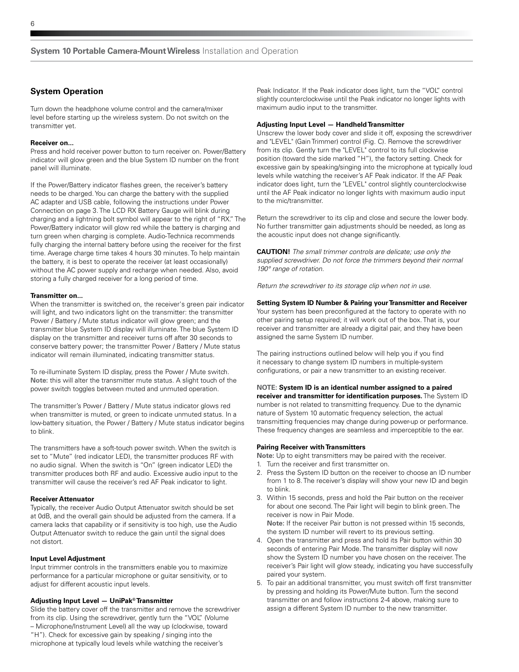# **System Operation**

Turn down the headphone volume control and the camera/mixer level before starting up the wireless system. Do not switch on the transmitter yet.

#### **Receiver on...**

Press and hold receiver power button to turn receiver on. Power/Battery indicator will glow green and the blue System ID number on the front panel will illuminate.

If the Power/Battery indicator flashes green, the receiver's battery needs to be charged. You can charge the battery with the supplied AC adapter and USB cable, following the instructions under Power Connection on page 3. The LCD RX Battery Gauge will blink during charging and a lightning bolt symbol will appear to the right of "RX." The Power/Battery indicator will glow red while the battery is charging and turn green when charging is complete. Audio-Technica recommends fully charging the internal battery before using the receiver for the first time. Average charge time takes 4 hours 30 minutes. To help maintain the battery, it is best to operate the receiver (at least occasionally) without the AC power supply and recharge when needed. Also, avoid storing a fully charged receiver for a long period of time.

#### **Transmitter on...**

When the transmitter is switched on, the receiver's green pair indicator will light, and two indicators light on the transmitter: the transmitter Power / Battery / Mute status indicator will glow green; and the transmitter blue System ID display will illuminate. The blue System ID display on the transmitter and receiver turns off after 30 seconds to conserve battery power; the transmitter Power / Battery / Mute status indicator will remain illuminated, indicating transmitter status.

To re-illuminate System ID display, press the Power / Mute switch. **Note:** this will alter the transmitter mute status. A slight touch of the power switch toggles between muted and unmuted operation.

The transmitter's Power / Battery / Mute status indicator glows red when transmitter is muted, or green to indicate unmuted status. In a low-battery situation, the Power / Battery / Mute status indicator begins to blink.

The transmitters have a soft-touch power switch. When the switch is set to "Mute" (red indicator LED), the transmitter produces RF with no audio signal. When the switch is "On" (green indicator LED) the transmitter produces both RF and audio. Excessive audio input to the transmitter will cause the receiver's red AF Peak indicator to light.

#### **Receiver Attenuator**

Typically, the receiver Audio Output Attenuator switch should be set at 0dB, and the overall gain should be adjusted from the camera. If a camera lacks that capability or if sensitivity is too high, use the Audio Output Attenuator switch to reduce the gain until the signal does not distort.

### **Input Level Adjustment**

Input trimmer controls in the transmitters enable you to maximize performance for a particular microphone or guitar sensitivity, or to adjust for different acoustic input levels.

### **Adjusting Input Level — UniPak® Transmitter**

Slide the battery cover off the transmitter and remove the screwdriver from its clip. Using the screwdriver, gently turn the "VOL" (Volume – Microphone/Instrument Level) all the way up (clockwise, toward "H"). Check for excessive gain by speaking / singing into the microphone at typically loud levels while watching the receiver's

Peak Indicator. If the Peak indicator does light, turn the "VOL" control slightly counterclockwise until the Peak indicator no longer lights with maximum audio input to the transmitter.

#### **Adjusting Input Level — Handheld Transmitter**

Unscrew the lower body cover and slide it off, exposing the screwdriver and "LEVEL" (Gain Trimmer) control (Fig. C). Remove the screwdriver from its clip. Gently turn the "LEVEL" control to its full clockwise position (toward the side marked "H"), the factory setting. Check for excessive gain by speaking/singing into the microphone at typically loud levels while watching the receiver's AF Peak indicator. If the AF Peak indicator does light, turn the "LEVEL" control slightly counterclockwise until the AF Peak indicator no longer lights with maximum audio input to the mic/transmitter.

Return the screwdriver to its clip and close and secure the lower body. No further transmitter gain adjustments should be needed, as long as the acoustic input does not change significantly.

**CAUTION!** *The small trimmer controls are delicate; use only the supplied screwdriver. Do not force the trimmers beyond their normal 190° range of rotation.*

*Return the screwdriver to its storage clip when not in use.*

# **Setting System ID Number & Pairing your Transmitter and Receiver**

Your system has been preconfigured at the factory to operate with no other pairing setup required; it will work out of the box. That is, your receiver and transmitter are already a digital pair, and they have been assigned the same System ID number.

The pairing instructions outlined below will help you if you find it necessary to change system ID numbers in multiple-system configurations, or pair a new transmitter to an existing receiver.

**NOTE: System ID is an identical number assigned to a paired receiver and transmitter for identification purposes.** The System ID number is not related to transmitting frequency. Due to the dynamic nature of System 10 automatic frequency selection, the actual transmitting frequencies may change during power-up or performance. These frequency changes are seamless and imperceptible to the ear.

#### **Pairing Receiver with Transmitters**

**Note:** Up to eight transmitters may be paired with the receiver.

- 1. Turn the receiver and first transmitter on.
- 2. Press the System ID button on the receiver to choose an ID number from 1 to 8. The receiver's display will show your new ID and begin to blink.
- 3. Within 15 seconds, press and hold the Pair button on the receiver for about one second. The Pair light will begin to blink green. The receiver is now in Pair Mode. **Note:** If the receiver Pair button is not pressed within 15 seconds, the system ID number will revert to its previous setting.
- 4. Open the transmitter and press and hold its Pair button within 30 seconds of entering Pair Mode. The transmitter display will now show the System ID number you have chosen on the receiver. The receiver's Pair light will glow steady, indicating you have successfully paired your system.
- 5. To pair an additional transmitter, you must switch off first transmitter by pressing and holding its Power/Mute button. Turn the second transmitter on and follow instructions 2-4 above, making sure to assign a different System ID number to the new transmitter.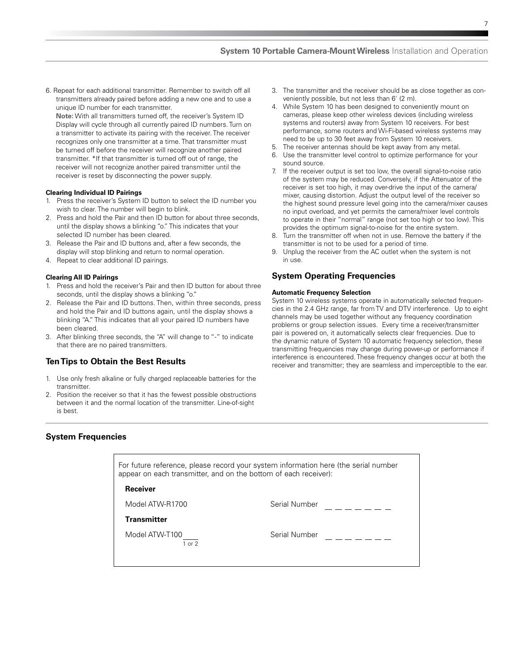6. Repeat for each additional transmitter. Remember to switch off all transmitters already paired before adding a new one and to use a unique ID number for each transmitter.

**Note:** With all transmitters turned off, the receiver's System ID Display will cycle through all currently paired ID numbers. Turn on a transmitter to activate its pairing with the receiver. The receiver recognizes only one transmitter at a time. That transmitter must be turned off before the receiver will recognize another paired transmitter. \*If that transmitter is turned off out of range, the receiver will not recognize another paired transmitter until the receiver is reset by disconnecting the power supply.

#### **Clearing Individual ID Pairings**

- Press the receiver's System ID button to select the ID number you wish to clear. The number will begin to blink.
- 2. Press and hold the Pair and then ID button for about three seconds, until the display shows a blinking "o." This indicates that your selected ID number has been cleared.
- 3. Release the Pair and ID buttons and, after a few seconds, the display will stop blinking and return to normal operation.
- 4. Repeat to clear additional ID pairings.

#### **Clearing All ID Pairings**

- 1. Press and hold the receiver's Pair and then ID button for about three seconds, until the display shows a blinking "o."
- 2. Release the Pair and ID buttons. Then, within three seconds, press and hold the Pair and ID buttons again, until the display shows a blinking "A." This indicates that all your paired ID numbers have been cleared.
- 3. After blinking three seconds, the "A" will change to "-" to indicate that there are no paired transmitters.

# **Ten Tips to Obtain the Best Results**

- 1. Use only fresh alkaline or fully charged replaceable batteries for the transmitter.
- 2. Position the receiver so that it has the fewest possible obstructions between it and the normal location of the transmitter. Line-of-sight is best.
- 3. The transmitter and the receiver should be as close together as conveniently possible, but not less than 6' (2 m).
- While System 10 has been designed to conveniently mount on cameras, please keep other wireless devices (including wireless systems and routers) away from System 10 receivers. For best performance, some routers and Wi-Fi-based wireless systems may need to be up to 30 feet away from System 10 receivers.
- 5. The receiver antennas should be kept away from any metal.
- 6. Use the transmitter level control to optimize performance for your sound source.
- 7. If the receiver output is set too low, the overall signal-to-noise ratio of the system may be reduced. Conversely, if the Attenuator of the receiver is set too high, it may over-drive the input of the camera/ mixer, causing distortion. Adjust the output level of the receiver so the highest sound pressure level going into the camera/mixer causes no input overload, and yet permits the camera/mixer level controls to operate in their "normal" range (not set too high or too low). This provides the optimum signal-to-noise for the entire system.
- Turn the transmitter off when not in use. Remove the battery if the transmitter is not to be used for a period of time.
- 9. Unplug the receiver from the AC outlet when the system is not in use.

# **System Operating Frequencies**

#### **Automatic Frequency Selection**

System 10 wireless systems operate in automatically selected frequencies in the 2.4 GHz range, far from TV and DTV interference. Up to eight channels may be used together without any frequency coordination problems or group selection issues. Every time a receiver/transmitter pair is powered on, it automatically selects clear frequencies. Due to the dynamic nature of System 10 automatic frequency selection, these transmitting frequencies may change during power-up or performance if interference is encountered. These frequency changes occur at both the receiver and transmitter; they are seamless and imperceptible to the ear.

# **System Frequencies**

| For future reference, please record your system information here (the serial number<br>appear on each transmitter, and on the bottom of each receiver): |               |
|---------------------------------------------------------------------------------------------------------------------------------------------------------|---------------|
| <b>Receiver</b>                                                                                                                                         |               |
| Model ATW-R1700                                                                                                                                         | Serial Number |
| <b>Transmitter</b>                                                                                                                                      |               |
| Model ATW-T100<br>$1$ or $2$                                                                                                                            | Serial Number |
|                                                                                                                                                         |               |